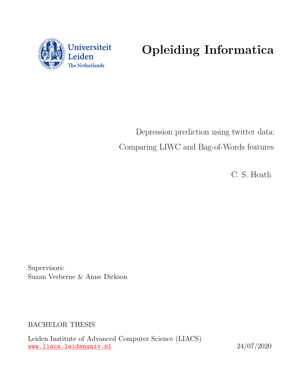

# Opleiding Informatica

Depression prediction using twitter data: Comparing LIWC and Bag-of-Words features

C. S. Heath

Supervisors: Suzan Verberne & Anne Dirkson

BACHELOR THESIS

Leiden Institute of Advanced Computer Science (LIACS) <www.liacs.leidenuniv.nl> 24/07/2020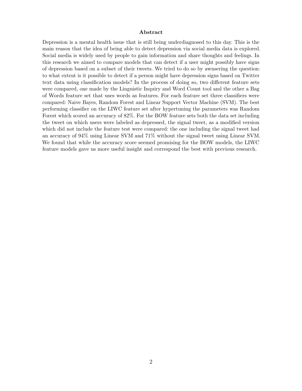#### Abstract

Depression is a mental health issue that is still being underdiagnosed to this day. This is the main reason that the idea of being able to detect depression via social media data is explored. Social media is widely used by people to gain information and share thoughts and feelings. In this research we aimed to compare models that can detect if a user might possibly have signs of depression based on a subset of their tweets. We tried to do so by awnsering the question: to what extent is it possible to detect if a person might have depression signs based on Twitter text data using classification models? In the process of doing so, two different feature sets were compared, one made by the Linguistic Inquiry and Word Count tool and the other a Bag of Words feature set that uses words as features. For each feature set three classifiers were compared: Naive Bayes, Random Forest and Linear Support Vector Machine (SVM). The best performing classifier on the LIWC feature set after hypertuning the parameters was Random Forest which scored an accuracy of 82%. For the BOW feature sets both the data set including the tweet on which users were labeled as depressed, the signal tweet, as a modified version which did not include the feature test were compared: the one including the signal tweet had an accuracy of 94% using Linear SVM and 71% without the signal tweet using Linear SVM. We found that while the accuracy score seemed promising for the BOW models, the LIWC feature models gave us more useful insight and correspond the best with previous research.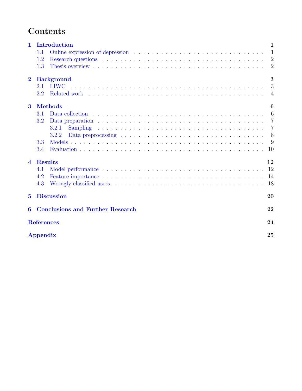# Contents

| $\mathbf{1}$            |                         | Introduction                            | 1              |  |  |  |
|-------------------------|-------------------------|-----------------------------------------|----------------|--|--|--|
|                         | $1.1\,$                 |                                         | $\mathbf{1}$   |  |  |  |
|                         | 1.2                     |                                         | $\overline{2}$ |  |  |  |
|                         | 1.3                     |                                         | $\overline{2}$ |  |  |  |
| $\overline{\mathbf{2}}$ |                         | <b>Background</b>                       | 3              |  |  |  |
|                         | 2.1                     | <b>LIWC</b>                             | 3              |  |  |  |
|                         | $2.2\,$                 |                                         | $\overline{4}$ |  |  |  |
| $\bf{3}$                |                         | <b>Methods</b>                          | 6              |  |  |  |
|                         | 3.1                     |                                         | 6              |  |  |  |
|                         | 3.2                     |                                         | $\overline{7}$ |  |  |  |
|                         |                         | 3.2.1                                   | $\overline{7}$ |  |  |  |
|                         |                         | 3.2.2                                   | 8              |  |  |  |
|                         | 3.3                     |                                         | 9              |  |  |  |
|                         | 3.4                     |                                         | 10             |  |  |  |
| $\blacktriangle$        | <b>Results</b>          |                                         | 12             |  |  |  |
|                         | 4.1                     |                                         | 12             |  |  |  |
|                         | 4.2                     |                                         | 14             |  |  |  |
|                         | 4.3                     |                                         | 18             |  |  |  |
| $\bf{5}$                |                         | <b>Discussion</b>                       | 20             |  |  |  |
| 6                       |                         | <b>Conclusions and Further Research</b> | 22             |  |  |  |
|                         | <b>References</b><br>24 |                                         |                |  |  |  |
|                         | <b>Appendix</b>         |                                         | 25             |  |  |  |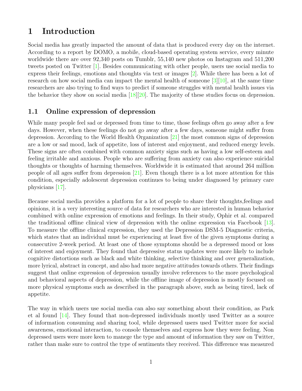### <span id="page-3-0"></span>1 Introduction

Social media has greatly impacted the amount of data that is produced every day on the internet. According to a report by DOMO, a mobile, cloud-based operating system service, every minute worldwide there are over 92,340 posts on Tumblr, 55,140 new photos on Instagram and 511,200 tweets posted on Twitter [\[1\]](#page-25-1). Besides communicating with other people, users use social media to express their feelings, emotions and thoughts via text or images [\[2\]](#page-25-2). While there has been a lot of research on how social media can impact the mental health of someone  $\frac{3}{10}$ , at the same time researchers are also trying to find ways to predict if someone struggles with mental health issues via the behavior they show on social media [\[18\]](#page-26-0)[\[20\]](#page-26-1). The majority of these studies focus on depression.

#### <span id="page-3-1"></span>1.1 Online expression of depression

While many people feel sad or depressed from time to time, those feelings often go away after a few days. However, when these feelings do not go away after a few days, someone might suffer from depression. According to the World Health Organization [\[21\]](#page-26-2) the most common signs of depression are a low or sad mood, lack of appetite, loss of interest and enjoyment, and reduced energy levels. These signs are often combined with common anxiety signs such as having a low self-esteem and feeling irritable and anxious. People who are suffering from anxiety can also experience suicidal thoughts or thoughts of harming themselves. Worldwide it is estimated that around 264 million people of all ages suffer from depression [\[21\]](#page-26-2). Even though there is a lot more attention for this condition, especially adolescent depression continues to being under diagnosed by primary care physicians [\[17\]](#page-26-3).

Because social media provides a platform for a lot of people to share their thoughts,feelings and opinions, it is a very interesting source of data for researchers who are interested in human behavior combined with online expression of emotions and feelings. In their study, Ophir et al. compared the traditional offline clinical view of depression with the online expression via Facebook [\[13\]](#page-26-4). To measure the offline clinical expression, they used the Depression DSM-5 Diagnostic criteria, which states that an individual must be experiencing at least five of the given symptoms during a consecutive 2-week period. At least one of those symptoms should be a depressed mood or loss of interest and enjoyment. They found that depressive status updates were more likely to include cognitive distortions such as black and white thinking, selective thinking and over generalization, more lyrical, abstract in concept, and also had more negative attitudes towards others. Their findings suggest that online expression of depression usually involve references to the more psychological and behavioral aspects of depression, while the offline image of depression is mostly focused on more physical symptoms such as described in the paragraph above, such as being tired, lack of appetite.

The way in which users use social media can also say something about their condition, as Park et al found [\[14\]](#page-26-5). They found that non-depressed individuals mostly used Twitter as a source of information consuming and sharing tool, while depressed users used Twitter more for social awareness, emotional interaction, to console themselves and express how they were feeling. Non depressed users were more keen to manege the type and amount of information they saw on Twitter, rather than make sure to control the type of sentiments they received. This difference was measured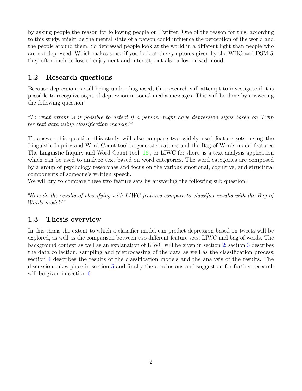by asking people the reason for following people on Twitter. One of the reason for this, according to this study, might be the mental state of a person could influence the perception of the world and the people around them. So depressed people look at the world in a different light than people who are not depressed. Which makes sense if you look at the symptoms given by the WHO and DSM-5, they often include loss of enjoyment and interest, but also a low or sad mood.

### <span id="page-4-0"></span>1.2 Research questions

Because depression is still being under diagnosed, this research will attempt to investigate if it is possible to recognize signs of depression in social media messages. This will be done by answering the following question:

"To what extent is it possible to detect if a person might have depression signs based on Twitter text data using classification models?"

To answer this question this study will also compare two widely used feature sets: using the Linguistic Inquiry and Word Count tool to generate features and the Bag of Words model features. The Linguistic Inquiry and Word Count tool [\[16\]](#page-26-6), or LIWC for short, is a text analysis application which can be used to analyze text based on word categories. The word categories are composed by a group of psychology researches and focus on the various emotional, cognitive, and structural components of someone's written speech.

We will try to compare these two feature sets by answering the following sub question:

"How do the results of classifying with LIWC features compare to classifier results with the Bag of Words model?"

#### <span id="page-4-1"></span>1.3 Thesis overview

In this thesis the extent to which a classifier model can predict depression based on tweets will be explored, as well as the comparison between two different feature sets: LIWC and bag of words. The background context as well as an explanation of LIWC will be given in section [2;](#page-5-0) section [3](#page-8-0) describes the data collection, sampling and preprocessing of the data as well as the classification process; section [4](#page-14-0) describes the results of the classification models and the analysis of the results. The discussion takes place in section [5](#page-22-0) and finally the conclusions and suggestion for further research will be given in section [6.](#page-24-0)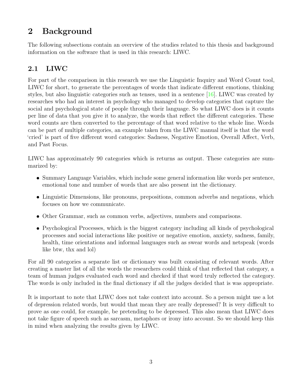# <span id="page-5-0"></span>2 Background

The following subsections contain an overview of the studies related to this thesis and background information on the software that is used in this research: LIWC.

### <span id="page-5-1"></span>2.1 LIWC

For part of the comparison in this research we use the Linguistic Inquiry and Word Count tool, LIWC for short, to generate the percentages of words that indicate different emotions, thinking styles, but also linguistic categories such as tenses, used in a sentence [\[16\]](#page-26-6). LIWC was created by researches who had an interest in psychology who managed to develop categories that capture the social and psychological state of people through their language. So what LIWC does is it counts per line of data that you give it to analyze, the words that reflect the different categories. These word counts are then converted to the percentage of that word relative to the whole line. Words can be part of multiple categories, an example taken from the LIWC manual itself is that the word 'cried' is part of five different word categories: Sadness, Negative Emotion, Overall Affect, Verb, and Past Focus.

LIWC has approximately 90 categories which is returns as output. These categories are summarized by:

- Summary Language Variables, which include some general information like words per sentence, emotional tone and number of words that are also present int the dictionary.
- Linguistic Dimensions, like pronouns, prepositions, common adverbs and negations, which focuses on how we communicate.
- Other Grammar, such as common verbs, adjectives, numbers and comparisons.
- Psychological Processes, which is the biggest category including all kinds of psychological processes and social interactions like positive or negative emotion, anxiety, sadness, family, health, time orientations and informal languages such as swear words and netspeak (words like btw, thx and lol)

For all 90 categories a separate list or dictionary was built consisting of relevant words. After creating a master list of all the words the researchers could think of that reflected that category, a team of human judges evaluated each word and checked if that word truly reflected the category. The words is only included in the final dictionary if all the judges decided that is was appropriate.

It is important to note that LIWC does not take context into account. So a person might use a lot of depression related words, but would that mean they are really depressed? It is very difficult to prove as one could, for example, be pretending to be depressed. This also mean that LIWC does not take figure of speech such as sarcasm, metaphors or irony into account. So we should keep this in mind when analyzing the results given by LIWC.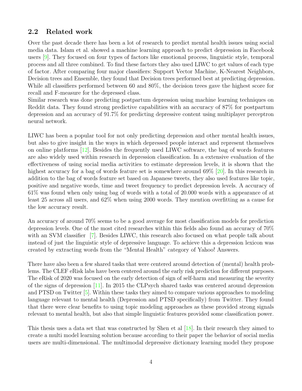#### <span id="page-6-0"></span>2.2 Related work

Over the past decade there has been a lot of research to predict mental health issues using social media data. Islam et al. showed a machine learning approach to predict depression in Facebook users [\[9\]](#page-25-5). They focused on four types of factors like emotional process, linguistic style, temporal process and all three combined. To find these factors they also used LIWC to get values of each type of factor. After comparing four major classifiers: Support Vector Machine, K-Nearest Neighbors, Decision trees and Ensemble, they found that Decision trees performed best at predicting depression. While all classifiers performed between 60 and 80%, the decision trees gave the highest score for recall and F-measure for the depressed class.

Similar research was done predicting postpartum depression using machine learning techniques on Reddit data. They found strong predictive capabilities with an accuracy of 87% for postpartum depression and an accuracy of 91.7% for predicting depressive content using multiplayer perceptron neural network.

LIWC has been a popular tool for not only predicting depression and other mental health issues, but also to give insight in the ways in which depressed people interact and represent themselves on online platforms [\[12\]](#page-25-6). Besides the frequently used LIWC software, the bag of words features are also widely used within research in depression classification. In a extensive evaluation of the effectiveness of using social media activities to estimate depression levels, it is shown that the highest accuracy for a bag of words feature set is somewhere around 69% [\[20\]](#page-26-1). In this research in addition to the bag of words feature set based on Japanese tweets, they also used features like topic, positive and negative words, time and tweet frequency to predict depression levels. A accuracy of 61% was found when only using bag of words with a total of 20.000 words with a appearance of at least 25 across all users, and 62% when using 2000 words. They mention overfitting as a cause for the low accuracy result.

An accuracy of around 70% seems to be a good average for most classification models for prediction depression levels. One of the most cited researches within this fields also found an accuracy of 70% with an SVM classifier [\[7\]](#page-25-7). Besides LIWC, this research also focused on what people talk about instead of just the linguistic style of depressive language. To achieve this a depression lexicon was created by extracting words from the "Mental Health" category of Yahoo! Answers.

There have also been a few shared tasks that were centered around detection of (mental) health problems. The CLEF eRisk labs have been centered around the early risk prediction for different purposes. The eRisk of 2020 was focused on the early detection of sign of self-harm and measuring the severity of the signs of depression [\[11\]](#page-25-8). In 2015 the CLPsych shared tasks was centered around depression and PTSD on Twitter [\[5\]](#page-25-9). Within these tasks they aimed to compare various approaches to modeling language relevant to mental health (Depression and PTSD specifically) from Twitter. They found that there were clear benefits to using topic modeling approaches as these provided strong signals relevant to mental health, but also that simple linguistic features provided some classification power.

This thesis uses a data set that was constructed by Shen et al [\[18\]](#page-26-0). In their research they aimed to create a multi model learning solution because according to their paper the behavior of social media users are multi-dimensional. The multimodal depressive dictionary learning model they propose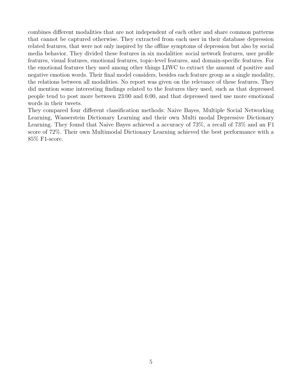combines different modalities that are not independent of each other and share common patterns that cannot be captured otherwise. They extracted from each user in their database depression related features, that were not only inspired by the offline symptoms of depression but also by social media behavior. They divided these features in six modalities: social network features, user profile features, visual features, emotional features, topic-level features, and domain-specific features. For the emotional features they used among other things LIWC to extract the amount of positive and negative emotion words. Their final model considers, besides each feature group as a single modality, the relations between all modalities. No report was given on the relevance of these features. They did mention some interesting findings related to the features they used, such as that depressed people tend to post more between 23:00 and 6:00, and that depressed used use more emotional words in their tweets.

They compared four different classification methods: Naive Bayes, Multiple Social Networking Learning, Wasserstein Dictionary Learning and their own Multi modal Depressive Dictionary Learning. They found that Naive Bayes achieved a accuracy of 73%, a recall of 73% and an F1 score of 72%. Their own Multimodal Dictionary Learning achieved the best performance with a 85% F1-score.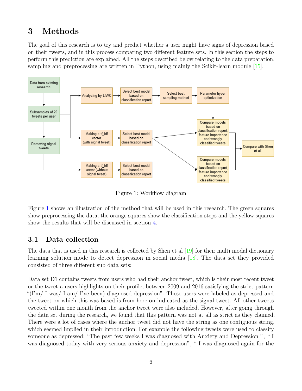# <span id="page-8-0"></span>3 Methods

The goal of this research is to try and predict whether a user might have signs of depression based on their tweets, and in this process comparing two different feature sets. In this section the steps to perform this prediction are explained. All the steps described below relating to the data preparation, sampling and preprocessing are written in Python, using mainly the Scikit-learn module [\[15\]](#page-26-7).



<span id="page-8-2"></span>Figure 1: Workflow diagram

Figure [1](#page-8-2) shows an illustration of the method that will be used in this research. The green squares show preprocessing the data, the orange squares show the classification steps and the yellow squares show the results that will be discussed in section [4.](#page-14-0)

#### <span id="page-8-1"></span>3.1 Data collection

The data that is used in this research is collected by Shen et al [\[19\]](#page-26-8) for their multi modal dictionary learning solution mode to detect depression in social media [\[18\]](#page-26-0). The data set they provided consisted of three different sub data sets:

Data set D1 contains tweets from users who had their anchor tweet, which is their most recent tweet or the tweet a users highlights on their profile, between 2009 and 2016 satisfying the strict pattern "(I'm/ I was/ I am/ I've been) diagnosed depression". These users were labeled as depressed and the tweet on which this was based is from here on indicated as the signal tweet. All other tweets tweeted within one month from the anchor tweet were also included. However, after going through the data set during the research, we found that this pattern was not at all as strict as they claimed. There were a lot of cases where the anchor tweet did not have the string as one contiguous string, which seemed implied in their introduction. For example the following tweets were used to classify someone as depressed: "The past few weeks I was diagnosed with Anxiety and Depression ", " I was diagnosed today with very serious anxiety and depression", " I was diagnosed again for the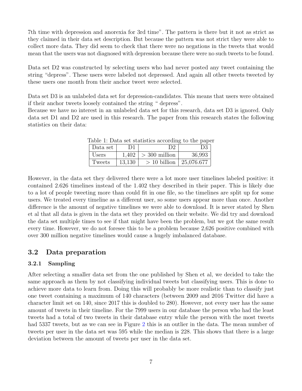7th time with depression and anorexia for 3rd time". The pattern is there but it not as strict as they claimed in their data set description. But because the pattern was not strict they were able to collect more data. They did seem to check that there were no negations in the tweets that would mean that the users was not diagnosed with depression because there were no such tweets to be found.

Data set D2 was constructed by selecting users who had never posted any tweet containing the string "depress". These users were labeled not depressed. And again all other tweets tweeted by these users one month from their anchor tweet were selected.

Data set D3 is an unlabeled data set for depression-candidates. This means that users were obtained if their anchor tweets loosely contained the string " depress".

Because we have no interest in an unlabeled data set for this research, data set D3 is ignored. Only data set D1 and D2 are used in this research. The paper from this research states the following statistics on their data:

| capic 1. Dava see seamencs according to the pape |        |                 |              |  |  |  |
|--------------------------------------------------|--------|-----------------|--------------|--|--|--|
| Data set                                         | D1     | D2              | D3           |  |  |  |
| Users                                            | 1.402  | $>$ 300 million | 36,993       |  |  |  |
| Tweets                                           | 13,130 | $> 10$ billion  | $25,076.677$ |  |  |  |

Table 1: Data set statistics according to the paper

However, in the data set they delivered there were a lot more user timelines labeled positive: it contained 2.626 timelines instead of the 1.402 they described in their paper. This is likely due to a lot of people tweeting more than could fit in one file, so the timelines are split up for some users. We treated every timeline as a different user, so some users appear more than once. Another difference is the amount of negative timelines we were able to download. It is never stated by Shen et al that all data is given in the data set they provided on their website. We did try and download the data set multiple times to see if that might have been the problem, but we got the same result every time. However, we do not foresee this to be a problem because 2,626 positive combined with over 300 million negative timelines would cause a hugely imbalanced database.

#### <span id="page-9-0"></span>3.2 Data preparation

#### <span id="page-9-1"></span>3.2.1 Sampling

After selecting a smaller data set from the one published by Shen et al, we decided to take the same approach as them by not classifying individual tweets but classifying users. This is done to achieve more data to learn from. Doing this will probably be more realistic than to classify just one tweet containing a maximum of 140 characters (between 2009 and 2016 Twitter did have a character limit set on 140, since 2017 this is doubled to 280). However, not every user has the same amount of tweets in their timeline. For the 7999 users in our database the person who had the least tweets had a total of two tweets in their database entry while the person with the most tweets had 5337 tweets, but as we can see in Figure [2](#page-10-1) this is an outlier in the data. The mean number of tweets per user in the data set was 595 while the median is 228. This shows that there is a large deviation between the amount of tweets per user in the data set.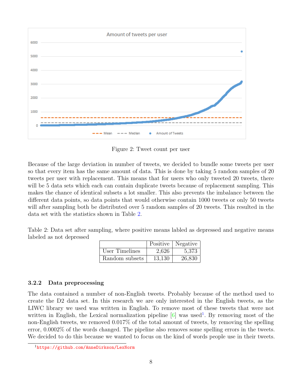

<span id="page-10-1"></span>Figure 2: Tweet count per user

Because of the large deviation in number of tweets, we decided to bundle some tweets per user so that every item has the same amount of data. This is done by taking 5 random samples of 20 tweets per user with replacement. This means that for users who only tweeted 20 tweets, there will be 5 data sets which each can contain duplicate tweets because of replacement sampling. This makes the chance of identical subsets a lot smaller. This also prevents the imbalance between the different data points, so data points that would otherwise contain 1000 tweets or only 50 tweets will after sampling both be distributed over 5 random samples of 20 tweets. This resulted in the data set with the statistics shown in Table [2.](#page-10-2)

<span id="page-10-2"></span>Table 2: Data set after sampling, where positive means labled as depressed and negative means labeled as not depressed

|                |        | Positive   Negative |
|----------------|--------|---------------------|
| User Timelines | 2,626  | 5,373               |
| Random subsets | 13,130 | 26,830              |

#### <span id="page-10-0"></span>3.2.2 Data preprocessing

The data contained a number of non-English tweets. Probably because of the method used to create the D2 data set. In this research we are only interested in the English tweets, as the LIWC library we used was written in English. To remove most of these tweets that were not written in English, the Lexical normalization pipeline  $[6]$  was used<sup>[1](#page-10-3)</sup>. By removing most of the non-English tweets, we removed 0.017% of the total amount of tweets, by removing the spelling error, 0.0002% of the words changed. The pipeline also removes some spelling errors in the tweets. We decided to do this because we wanted to focus on the kind of words people use in their tweets.

<span id="page-10-3"></span><sup>1</sup><https://github.com/AnneDirkson/LexNorm>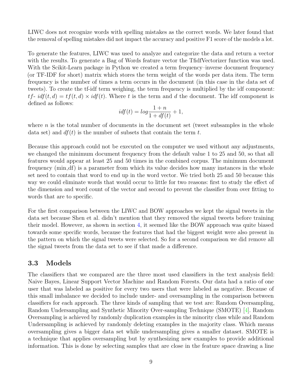LIWC does not recognize words with spelling mistakes as the correct words. We later found that the removal of spelling mistakes did not impact the accuracy and positive F1 score of the models a lot.

To generate the features, LIWC was used to analyze and categorize the data and return a vector with the results. To generate a Bag of Words feature vector the TfidfVectorizer function was used. With the Scikit-Learn package in Python we created a term frequency–inverse document frequency (or TF-IDF for short) matrix which stores the term weight of the words per data item. The term frequency is the number of times a term occurs in the document (in this case in the data set of tweets). To create the tf-idf term weighing, the term frequency is multiplied by the idf component:  $tf - idf(t, d) = tf(t, d) \times idf(t)$ . Where t is the term and d the document. The idf component is defined as follows:

$$
idf(t) = log \frac{1+n}{1 + df(t)} + 1,
$$

where  $n$  is the total number of documents in the document set (tweet subsamples in the whole data set) and  $df(t)$  is the number of subsets that contain the term t.

Because this approach could not be executed on the computer we used without any adjustments, we changed the minimum document frequency from the default value 1 to 25 and 50, so that all features would appear at least 25 and 50 times in the combined corpus. The minimum document frequency (min df) is a parameter from which its value decides how many instances in the whole set need to contain that word to end up in the word vector. We tried both 25 and 50 because this way we could eliminate words that would occur to little for two reasons: first to study the effect of the dimension and word count of the vector and second to prevent the classifier from over fitting to words that are to specific.

For the first comparison between the LIWC and BOW approaches we kept the signal tweets in the data set because Shen et al. didn't mention that they removed the signal tweets before training their model. However, as shown in section [4,](#page-14-0) it seemed like the BOW approach was quite biased towards some specific words, because the features that had the biggest weight were also present in the pattern on which the signal tweets were selected. So for a second comparison we did remove all the signal tweets from the data set to see if that made a difference.

#### <span id="page-11-0"></span>3.3 Models

The classifiers that we compared are the three most used classifiers in the text analysis field: Naive Bayes, Linear Support Vector Machine and Random Forests. Our data had a ratio of one user that was labeled as positive for every two users that were labeled as negative. Because of this small imbalance we decided to include under- and oversampling in the comparison between classifiers for each approach. The three kinds of sampling that we test are: Random Oversampling, Random Undersampling and Synthetic Minority Over-sampling Technique (SMOTE) [\[4\]](#page-25-11). Random Oversampling is achieved by randomly duplication examples in the minority class while and Random Undersampling is achieved by randomly deleting examples in the majority class. Which means oversampling gives a bigger data set while undersampling gives a smaller dataset. SMOTE is a technique that applies oversampling but by synthesizing new examples to provide additional information. This is done by selecting samples that are close in the feature space drawing a line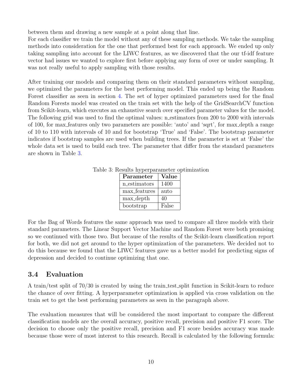between them and drawing a new sample at a point along that line.

For each classifier we train the model without any of these sampling methods. We take the sampling methods into consideration for the one that performed best for each approach. We ended up only taking sampling into account for the LIWC features, as we discovered that the our tf-idf feature vector had issues we wanted to explore first before applying any form of over or under sampling. It was not really useful to apply sampling with those results.

After training our models and comparing them on their standard parameters without sampling, we optimized the parameters for the best performing model. This ended up being the Random Forest classifier as seen in section [4.](#page-14-0) The set of hyper optimized parameters used for the final Random Forests model was created on the train set with the help of the GridSearchCV function from Scikit-learn, which executes an exhaustive search over specified parameter values for the model. The following grid was used to find the optimal values: n\_estimators from 200 to 2000 with intervals of 100, for max features only two parameters are possible: 'auto' and 'sqrt', for max depth a range of 10 to 110 with intervals of 10 and for bootstrap 'True' and 'False'. The bootstrap parameter indicates if bootstrap samples are used when building trees. If the parameter is set at 'False' the whole data set is used to build each tree. The parameter that differ from the standard parameters are shown in Table [3.](#page-12-1)

<span id="page-12-1"></span>

| Parameter    | Value |
|--------------|-------|
| n_estimators | 1400  |
| max_features | auto  |
| max_depth    | 40    |
| bootstrap    | False |

Table 3: Results hyperparameter optimization

For the Bag of Words features the same approach was used to compare all three models with their standard parameters. The Linear Support Vector Machine and Random Forest were both promising so we continued with those two. But because of the results of the Scikit-learn classification report for both, we did not get around to the hyper optimization of the parameters. We decided not to do this because we found that the LIWC features gave us a better model for predicting signs of depression and decided to continue optimizing that one.

#### <span id="page-12-0"></span>3.4 Evaluation

A train/test split of 70/30 is created by using the train test split function in Scikit-learn to reduce the chance of over fitting. A hyperparameter optimization is applied via cross validation on the train set to get the best performing parameters as seen in the paragraph above.

The evaluation measures that will be considered the most important to compare the different classification models are the overall accuracy, positive recall, precision and positive F1 score. The decision to choose only the positive recall, precision and F1 score besides accuracy was made because those were of most interest to this research. Recall is calculated by the following formula: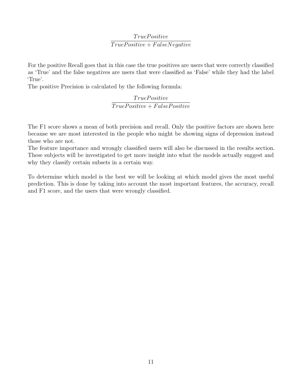#### $True Positive$  $True Positive + False Negative$

For the positive Recall goes that in this case the true positives are users that were correctly classified as 'True' and the false negatives are users that were classified as 'False' while they had the label 'True'.

The positive Precision is calculated by the following formula:

#### TruePositive  $TruePositive + False Positive$

The F1 score shows a mean of both precision and recall. Only the positive factors are shown here because we are most interested in the people who might be showing signs of depression instead those who are not.

The feature importance and wrongly classified users will also be discussed in the results section. These subjects will be investigated to get more insight into what the models actually suggest and why they classify certain subsets in a certain way.

To determine which model is the best we will be looking at which model gives the most useful prediction. This is done by taking into account the most important features, the accuracy, recall and F1 score, and the users that were wrongly classified.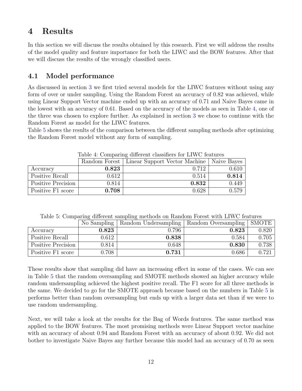## <span id="page-14-0"></span>4 Results

In this section we will discuss the results obtained by this research. First we will address the results of the model quality and feature importance for both the LIWC and the BOW features. After that we will discuss the results of the wrongly classified users.

### <span id="page-14-1"></span>4.1 Model performance

As discussed in section [3](#page-8-0) we first tried several models for the LIWC features without using any form of over or under sampling. Using the Random Forest an accuracy of 0.82 was achieved, while using Linear Support Vector machine ended up with an accuracy of 0.71 and Naive Bayes came in the lowest with an accuracy of 0.61. Based on the accuracy of the models as seen in Table [4,](#page-14-2) one of the three was chosen to explore further. As explained in section [3](#page-8-0) we chose to continue with the Random Forest as model for the LIWC features.

Table [5](#page-14-3) shows the results of the comparison between the different sampling methods after optimizing the Random Forest model without any form of sampling.

|                    | Random Forest | Linear Support Vector Machine   Naive Bayes |       |
|--------------------|---------------|---------------------------------------------|-------|
| Accuracy           | 0.823         | 0.712                                       | 0.610 |
| Positive Recall    | 0.612         | 0.514                                       | 0.814 |
| Positive Precision | 0.814         | 0.832                                       | 0.449 |
| Positive F1 score  | 0.708         | 0.628                                       | 0.579 |

<span id="page-14-2"></span>Table 4: Comparing different classifiers for LIWC features

<span id="page-14-3"></span>Table 5: Comparing different sampling methods on Random Forest with LIWC features

|                    | No Sampling | Random Undersampling | Random Oversampling | SMOTE |
|--------------------|-------------|----------------------|---------------------|-------|
| Accuracy           | 0.823       | 0.796                | 0.823               | 0.820 |
| Positive Recall    | 0.612       | 0.838                | 0.584               | 0.705 |
| Positive Precision | 0.814       | 0.648                | 0.830               | 0.738 |
| Positive F1 score  | 0.708       | 0.731                | 0.686               | 0.721 |

These results show that sampling did have an increasing effect in some of the cases. We can see in Table [5](#page-14-3) that the random oversampling and SMOTE methods showed an higher accuracy while random undersampling achieved the highest positive recall. The F1 score for all three methods is the same. We decided to go for the SMOTE approach because based on the numbers in Table [5](#page-14-3) is performs better than random oversampling but ends up with a larger data set than if we were to use random undersampling.

Next, we will take a look at the results for the Bag of Words features. The same method was applied to the BOW features. The most promising methods were Linear Support vector machine with an accuracy of about 0.94 and Random Forest with an accuracy of about 0.92. We did not bother to investigate Naive Bayes any further because this model had an accuracy of 0.70 as seen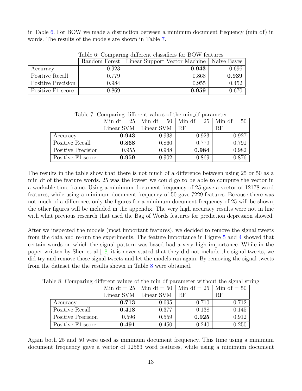in Table [6.](#page-15-0) For BOW we made a distinction between a minimum document frequency (min df) in words. The results of the models are shown in Table [7.](#page-15-1)

|                    |       | Table 0. Comparing unicrem classmers for DO N Teatures      |       |  |
|--------------------|-------|-------------------------------------------------------------|-------|--|
|                    |       | Random Forest   Linear Support Vector Machine   Naive Bayes |       |  |
| Accuracy           | 0.923 | 0.943                                                       | 0.696 |  |
| Positive Recall    | 0.779 | 0.868                                                       | 0.939 |  |
| Positive Precision | 0.984 | 0.955                                                       | 0.452 |  |
| Positive F1 score  | 0.869 | 0.959                                                       | 0.670 |  |

<span id="page-15-0"></span>Table 6: Comparing different classifiers for BOW features

<span id="page-15-1"></span>Table 7: Comparing different values of the min df parameter

|                    |            |            |       | $\text{Min\_df} = 25$   $\text{Min\_df} = 50$   $\text{Min\_df} = 25$   $\text{Min\_df} = 50$ |
|--------------------|------------|------------|-------|-----------------------------------------------------------------------------------------------|
|                    | Linear SVM | Linear SVM | l RF  | <b>RF</b>                                                                                     |
| Accuracy           | 0.943      | 0.938      | 0.923 | 0.927                                                                                         |
| Positive Recall    | 0.868      | 0.860      | 0.779 | 0.791                                                                                         |
| Positive Precision | 0.955      | 0.948      | 0.984 | 0.982                                                                                         |
| Positive F1 score  | 0.959      | 0.902      | 0.869 | 0.876                                                                                         |

The results in the table show that there is not much of a difference between using 25 or 50 as a min df of the feature words. 25 was the lowest we could go to be able to compute the vector in a workable time frame. Using a minimum document frequency of 25 gave a vector of 12178 word features, while using a minimum document frequency of 50 gave 7229 features. Because there was not much of a difference, only the figures for a minimum document frequency of 25 will be shown, the other figures will be included in the appendix. The very high accuracy results were not in line with what previous research that used the Bag of Words features for prediction depression showed.

After we inspected the models (most important features), we decided to remove the signal tweets from the data and re-run the experiments. The feature importance in Figure [5](#page-17-0) and [4](#page-17-1) showed that certain words on which the signal pattern was based had a very high importance. While in the paper written by Shen et al [\[18\]](#page-26-0) it is never stated that they did not include the signal tweets, we did try and remove those signal tweets and let the models run again. By removing the signal tweets from the dataset the the results shown in Table [8](#page-15-2) were obtained.

<span id="page-15-2"></span>

|                    |       | $Min\_df = 25$   $Min\_df = 50$   $Min\_df = 25$   $Min\_df = 50$ |       |       |  |
|--------------------|-------|-------------------------------------------------------------------|-------|-------|--|
|                    |       | Linear SVM   Linear SVM   $RF$                                    |       | RF    |  |
| Accuracy           | 0.713 | 0.695                                                             | 0.710 | 0.712 |  |
| Positive Recall    | 0.418 | 0.377                                                             | 0.138 | 0.145 |  |
| Positive Precision | 0.596 | 0.559                                                             | 0.925 | 0.912 |  |
| Positive F1 score  | 0.491 | 0.450                                                             | 0.240 | 0.250 |  |

Table 8: Comparing different values of the min df parameter without the signal string

Again both 25 and 50 were used as minimum document frequency. This time using a minimum document frequency gave a vector of 12563 word features, while using a minimum document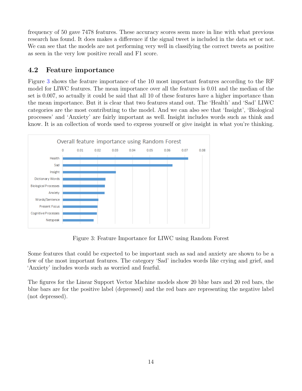frequency of 50 gave 7478 features. These accuracy scores seem more in line with what previous research has found. It does makes a difference if the signal tweet is included in the data set or not. We can see that the models are not performing very well in classifying the correct tweets as positive as seen in the very low positive recall and F1 score.

### <span id="page-16-0"></span>4.2 Feature importance

Figure [3](#page-16-1) shows the feature importance of the 10 most important features according to the RF model for LIWC features. The mean importance over all the features is 0.01 and the median of the set is 0.007, so actually it could be said that all 10 of these features have a higher importance than the mean importance. But it is clear that two features stand out. The 'Health' and 'Sad' LIWC categories are the most contributing to the model. And we can also see that 'Insight', 'Biological processes' and 'Anxiety' are fairly important as well. Insight includes words such as think and know. It is an collection of words used to express yourself or give insight in what you're thinking.



<span id="page-16-1"></span>Figure 3: Feature Importance for LIWC using Random Forest

Some features that could be expected to be important such as sad and anxiety are shown to be a few of the most important features. The category 'Sad' includes words like crying and grief, and 'Anxiety' includes words such as worried and fearful.

The figures for the Linear Support Vector Machine models show 20 blue bars and 20 red bars, the blue bars are for the positive label (depressed) and the red bars are representing the negative label (not depressed).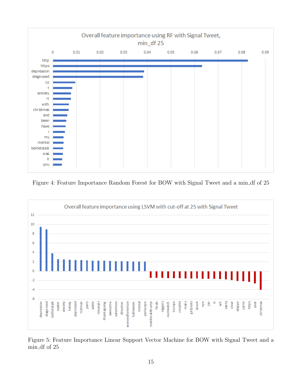

<span id="page-17-1"></span>Figure 4: Feature Importance Random Forest for BOW with Signal Tweet and a min df of 25



<span id="page-17-0"></span>Figure 5: Feature Importance Linear Support Vector Machine for BOW with Signal Tweet and a min df of 25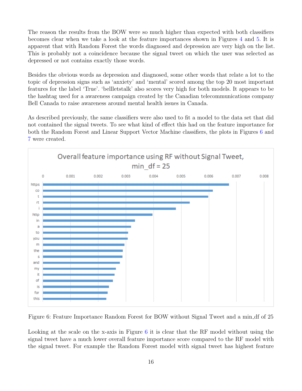The reason the results from the BOW were so much higher than expected with both classifiers becomes clear when we take a look at the feature importances shown in Figures [4](#page-17-1) and [5.](#page-17-0) It is apparent that with Random Forest the words diagnosed and depression are very high on the list. This is probably not a coincidence because the signal tweet on which the user was selected as depressed or not contains exactly those words.

Besides the obvious words as depression and diagnosed, some other words that relate a lot to the topic of depression signs such as 'anxiety' and 'mental' scored among the top 20 most important features for the label 'True'. 'bellletstalk' also scores very high for both models. It appears to be the hashtag used for a awareness campaign created by the Canadian telecommunications company Bell Canada to raise awareness around mental health issues in Canada.

As described previously, the same classifiers were also used to fit a model to the data set that did not contained the signal tweets. To see what kind of effect this had on the feature importance for both the Random Forest and Linear Support Vector Machine classifiers, the plots in Figures [6](#page-18-0) and [7](#page-19-0) were created.



<span id="page-18-0"></span>Figure 6: Feature Importance Random Forest for BOW without Signal Tweet and a min df of 25

Looking at the scale on the x-axis in Figure [6](#page-18-0) it is clear that the RF model without using the signal tweet have a much lower overall feature importance score compared to the RF model with the signal tweet. For example the Random Forest model with signal tweet has highest feature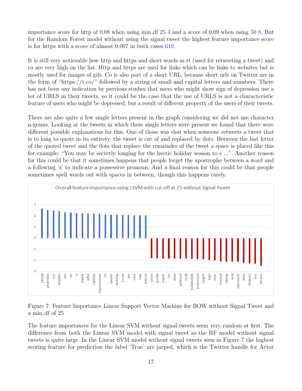importance score for http of 0.08 when using min df 25 [4](#page-17-1) and a score of 0.09 when using 50 [8.](#page-27-1) But for the Random Forest model without using the signal tweet the highest feature importance score is for https with a score of almost 0.007 in both cases [6](#page-18-0)[10.](#page-28-0)

It is still very noticeable how http and https and short words as rt (used for retweeting a tweet) and co are very high on the list. Http and https are used for links which can be links to websites but is mostly used for images of gifs. Co is also part of a short URL, because short urls on Twitter are in the form of "https://t.co/" followed by a string of small and capital letters and numbers. There has not been any indication by previous studies that users who might show sign of depression use a lot of URLS in their tweets, so it could be the case that the use of URLS is not a characteristic feature of users who might be depressed, but a result of different property of the users of their tweets.

There are also quite a few single letters present in the graph considering we did not use character n-grams. Looking at the tweets in which these single letters were present we found that there were different possible explanations for this. One of those was that when someone retweets a tweet that is to long to quote in its entirety, the tweet is cut of and replaced by dots. Between the last letter of the quoted tweet and the dots that replace the remainder of the tweet a space is placed like this for example: "You may be secretly longing for the hectic holiday season to s ...". Another reason for this could be that it sometimes happens that people forget the apostrophe between a word and a following 's' to indicate a possessive pronoun. And a final reason for this could be that people sometimes spell words out with spaces in between, though this happens rarely.



<span id="page-19-0"></span>Figure 7: Feature Importance Linear Support Vector Machine for BOW without Signal Tweet and a min df of 25

The feature importances for the Linear SVM without signal tweets seem very random at first. The difference from both the Linear SVM model with signal tweet as the RF model without signal tweets is quite large. In the Linear SVM model without signal tweets seen in Figure [7](#page-19-0) the highest scoring feature for prediction the label 'True' are jarped, which is the Twitter handle for Actor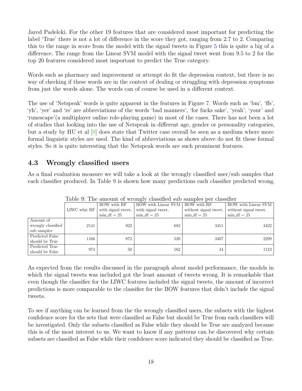Jared Padeleki. For the other 19 features that are considered most important for predicting the label 'True' there is not a lot of difference in the score they got, ranging from 2.7 to 2. Comparing this to the range in score from the model with the signal tweets in Figure [5](#page-17-0) this is quite a big of a difference. The range from the Linear SVM model with the signal tweet went from 9.5 to 2 for the top 20 features considered most important to predict the True category.

Words such as pharmacy and improvement or attempt do fit the depression context, but there is no way of checking if these words are in the context of dealing or struggling with depression symptoms from just the words alone. The words can of course be used in a different context.

The use of 'Netspeak' words is quite apparent in the features in Figure [7.](#page-19-0) Words such as 'bm', 'ffs', 'yh', 'yer' and 'rs' are abbreviations of the words 'bad manners', 'for fucks sake', 'yeah', 'your' and 'runescape'(a multiplayer online role-playing game) in most of the cases. There has not been a lot of studies that looking into the use of Netspeak in different age, gender or personality categories, but a study by HU et al [\[8\]](#page-25-12) does state that Twitter case overall be seen as a medium where more formal linguistic styles are used. The kind of abbreviations as shows above do not fit these formal styles. So it is quite interesting that the Netspeak words are such prominent features.

#### <span id="page-20-0"></span>4.3 Wrongly classified users

As a final evaluation measure we will take a look at the wrongly classified user/sub samples that each classifier produced. In Table [9](#page-20-1) is shown how many predictions each classifier predicted wrong.

|                    | Table 5. The amount of wrongly classified sub-samples per classifier |                    |                                   |                       |                       |  |
|--------------------|----------------------------------------------------------------------|--------------------|-----------------------------------|-----------------------|-----------------------|--|
|                    |                                                                      | BOW with RF        | BOW with Linear SVM   BOW with RF |                       | BOW with Linear SVM   |  |
|                    | LIWC whit RF                                                         | with signal tweet, | with signal tweet,                | without signal tweet, | without signal tweet, |  |
|                    |                                                                      | $min_d f = 25$     | $min_d f = 25$                    | $min_d f = 25$        | $min_d f = 25$        |  |
| Amount of          |                                                                      |                    |                                   |                       |                       |  |
| wrongly classified | 2141                                                                 | 922                | 682                               | 3451                  | 3422                  |  |
| sub samples        |                                                                      |                    |                                   |                       |                       |  |
| Predicted False    | 1166                                                                 | 872                | 520                               | 3407                  | 2299                  |  |
| should be True     |                                                                      |                    |                                   |                       |                       |  |
| Predicted True     | 974                                                                  | 50                 | 162                               | 44                    | 1123                  |  |
| should be False    |                                                                      |                    |                                   |                       |                       |  |

<span id="page-20-1"></span>Table 9: The amount of wrongly classified sub samples per classifier

As expected from the results discussed in the paragraph about model performance, the models in which the signal tweets was included got the least amount of tweets wrong. It is remarkable that even though the classifier for the LIWC features included the signal tweets, the amount of incorrect predictions is more comparable to the classifier for the BOW features that didn't include the signal tweets.

To see if anything can be learned from the the wrongly classified users, the subsets with the highest confidence score for the sets that were classified as False but should be True from each classifiers will be investigated. Only the subsets classified as False while they should be True are analyzed because this is of the most interest to us. We want to know if any patterns can be discovered why certain subsets are classified as False while their confidence score indicated they should be classified as True.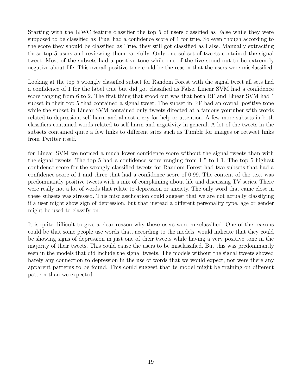Starting with the LIWC feature classifier the top 5 of users classified as False while they were supposed to be classified as True, had a confidence score of 1 for true. So even though according to the score they should be classified as True, they still got classified as False. Manually extracting those top 5 users and reviewing them carefully. Only one subset of tweets contained the signal tweet. Most of the subsets had a positive tone while one of the five stood out to be extremely negative about life. This overall positive tone could be the reason that the users were misclassified.

Looking at the top 5 wrongly classified subset for Random Forest with the signal tweet all sets had a confidence of 1 for the label true but did got classified as False. Linear SVM had a confidence score ranging from 6 to 2. The first thing that stood out was that both RF and Linear SVM had 1 subset in their top 5 that contained a signal tweet. The subset in RF had an overall positive tone while the subset in Linear SVM contained only tweets directed at a famous youtuber with words related to depression, self harm and almost a cry for help or attention. A few more subsets in both classifiers contained words related to self harm and negativity in general. A lot of the tweets in the subsets contained quite a few links to different sites such as Tumblr for images or retweet links from Twitter itself.

for Linear SVM we noticed a much lower confidence score without the signal tweets than with the signal tweets. The top 5 had a confidence score ranging from 1.5 to 1.1. The top 5 highest confidence score for the wrongly classified tweets for Random Forest had two subsets that had a confidence score of 1 and three that had a confidence score of 0.99. The content of the text was predominantly positive tweets with a mix of complaining about life and discussing TV series. There were really not a lot of words that relate to depression or anxiety. The only word that came close in these subsets was stressed. This misclassification could suggest that we are not actually classifying if a user might show sign of depression, but that instead a different personality type, age or gender might be used to classify on.

It is quite difficult to give a clear reason why these users were misclassified. One of the reasons could be that some people use words that, according to the models, would indicate that they could be showing signs of depression in just one of their tweets while having a very positive tone in the majority of their tweets. This could cause the users to be misclassified. But this was predominantly seen in the models that did include the signal tweets. The models without the signal tweets showed barely any connection to depression in the use of words that we would expect, nor were there any apparent patterns to be found. This could suggest that te model might be training on different pattern than we expected.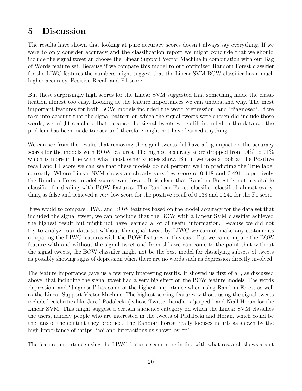# <span id="page-22-0"></span>5 Discussion

The results have shown that looking at pure accuracy scores doesn't always say everything. If we were to only consider accuracy and the classification report we might conclude that we should include the signal tweet an choose the Linear Support Vector Machine in combination with our Bag of Words feature set. Because if we compare this model to our optimized Random Forest classifier for the LIWC features the numbers might suggest that the Linear SVM BOW classifier has a much higher accuracy, Positive Recall and F1 score.

But these surprisingly high scores for the Linear SVM suggested that something made the classification almost too easy. Looking at the feature importances we can understand why. The most important features for both BOW models included the word 'depression' and 'diagnosed'. If we take into account that the signal pattern on which the signal tweets were chosen did include those words, we might conclude that because the signal tweets were still included in the data set the problem has been made to easy and therefore might not have learned anything.

We can see from the results that removing the signal tweets did have a big impact on the accuracy scores for the models with BOW features. The highest accuracy score dropped from 94% to 71% which is more in line with what most other studies show. But if we take a look at the Positive recall and F1 score we can see that these models do not perform well in predicting the True label correctly. Where Linear SVM shows an already very low score of 0.418 and 0.491 respectively, the Random Forest model scores even lower. It is clear that Random Forest is not a suitable classifier for dealing with BOW features. The Random Forest classifier classified almost everything as false and achieved a very low score for the positive recall of 0.138 and 0.240 for the F1 score.

If we would to compare LIWC and BOW features based on the model accuracy for the data set that included the signal tweet, we can conclude that the BOW with a Linear SVM classifier achieved the highest result but might not have learned a lot of useful information. Because we did not try to analyze our data set without the signal tweet by LIWC we cannot make any statements comparing the LIWC features with the BOW features in this case. But we can compare the BOW feature with and without the signal tweet and from this we can come to the point that without the signal tweets, the BOW classifier might not be the best model for classifying subsets of tweets as possibly showing signs of depression when there are no words such as depression directly involved.

The feature importance gave us a few very interesting results. It showed us first of all, as discussed above, that including the signal tweet had a very big effect on the BOW feature models. The words 'depression' and 'diagnosed' has some of the highest importance when using Random Forest as well as the Linear Support Vector Machine. The highest scoring features without using the signal tweets included celebrities like Jared Padalecki ('whose Twitter handle is 'jarped') and Niall Horan for the Linear SVM. This might suggest a certain audience category on which the Linear SVM classifies the users, namely people who are interested in the tweets of Padalecki and Horan, which could be the fans of the content they produce. The Random Forest really focuses in urls as shown by the high importance of 'https' 'co' and interactions as shown by 'rt'.

The feature importance using the LIWC features seem more in line with what research shows about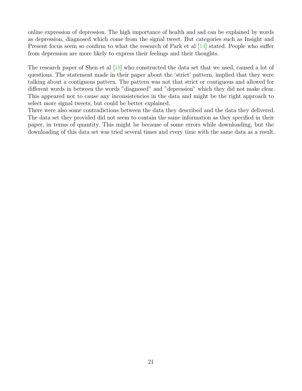online expression of depression. The high importance of health and sad can be explained by words as depression, diagnosed which come from the signal tweet. But categories such as Insight and Present focus seem so confirm to what the research of Park et al [\[14\]](#page-26-5) stated. People who suffer from depression are more likely to express their feelings and their thoughts.

The research paper of Shen et al [\[18\]](#page-26-0) who constructed the data set that we used, caused a lot of questions. The statement made in their paper about the 'strict' pattern, implied that they were talking about a contiguous pattern. The pattern was not that strict or contiguous and allowed for different words in between the words "diagnosed" and "depression" which they did not make clear. This appeared not to cause any inconsistencies in the data and might be the right approach to select more signal tweets, but could be better explained.

There were also some contradictions between the data they described and the data they delivered. The data set they provided did not seem to contain the same information as they specified in their paper, in terms of quantity. This might be because of some errors while downloading, but the downloading of this data set was tried several times and every time with the same data as a result.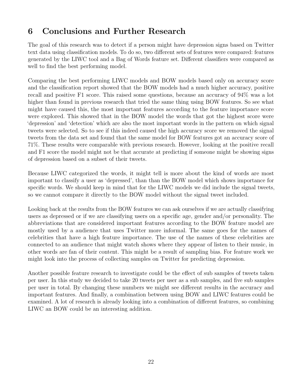# <span id="page-24-0"></span>6 Conclusions and Further Research

The goal of this research was to detect if a person might have depression signs based on Twitter text data using classification models. To do so, two different sets of features were compared: features generated by the LIWC tool and a Bag of Words feature set. Different classifiers were compared as well to find the best performing model.

Comparing the best performing LIWC models and BOW models based only on accuracy score and the classification report showed that the BOW models had a much higher accuracy, positive recall and positive F1 score. This raised some questions, because an accuracy of 94% was a lot higher than found in previous research that tried the same thing using BOW features. So see what might have caused this, the most important features according to the feature importance score were explored. This showed that in the BOW model the words that got the highest score were 'depression' and 'detection' which are also the most important words in the pattern on which signal tweets were selected. So to see if this indeed caused the high accuracy score we removed the signal tweets from the data set and found that the same model for BOW features got an accuracy score of 71%. These results were comparable with previous research. However, looking at the positive recall and F1 score the model might not be that accurate at predicting if someone might be showing signs of depression based on a subset of their tweets.

Because LIWC categorized the words, it might tell is more about the kind of words are most important to classify a user as 'depressed', than than the BOW model which shows importance for specific words. We should keep in mind that for the LIWC models we did include the signal tweets, so we cannot compare it directly to the BOW model without the signal tweet included.

Looking back at the results from the BOW features we can ask ourselves if we are actually classifying users as depressed or if we are classifying users on a specific age, gender and/or personality. The abbreviations that are considered important features according to the BOW feature model are mostly used by a audience that uses Twitter more informal. The same goes for the names of celebrities that have a high feature importance. The use of the names of these celebrities are connected to an audience that might watch shows where they appear of listen to their music, in other words are fan of their content. This might be a result of sampling bias. For feature work we might look into the process of collecting samples on Twitter for predicting depression.

Another possible feature research to investigate could be the effect of sub samples of tweets taken per user. In this study we decided to take 20 tweets per user as a sub samples, and five sub samples per user in total. By changing these numbers we might see different results in the accuracy and important features. And finally, a combination between using BOW and LIWC features could be examined. A lot of research is already looking into a combination of different features, so combining LIWC an BOW could be an interesting addition.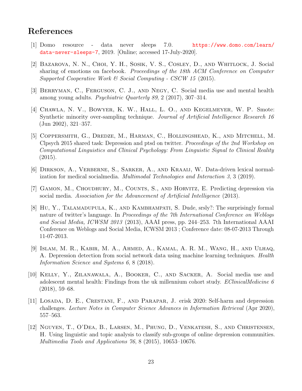### <span id="page-25-0"></span>References

- <span id="page-25-1"></span>[1] Domo resource - data never sleeps 7.0. [https://www.domo.com/learn/](https://www.domo.com/learn/data-never-sleeps-7) [data-never-sleeps-7](https://www.domo.com/learn/data-never-sleeps-7), 2019. [Online; accessed 17-July-2020].
- <span id="page-25-2"></span>[2] Bazarova, N. N., Choi, Y. H., Sosik, V. S., Cosley, D., and Whitlock, J. Social sharing of emotions on facebook. Proceedings of the 18th ACM Conference on Computer Supported Cooperative Work & Social Computing - CSCW 15 (2015).
- <span id="page-25-3"></span>[3] Berryman, C., Ferguson, C. J., and Negy, C. Social media use and mental health among young adults. Psychiatric Quarterly 89, 2 (2017), 307–314.
- <span id="page-25-11"></span>[4] CHAWLA, N. V., BOWYER, K. W., HALL, L. O., AND KEGELMEYER, W. P. Smote: Synthetic minority over-sampling technique. Journal of Artificial Intelligence Research 16 (Jun 2002), 321–357.
- <span id="page-25-9"></span>[5] Coppersmith, G., Dredze, M., Harman, C., Hollingshead, K., and Mitchell, M. Clpsych 2015 shared task: Depression and ptsd on twitter. Proceedings of the 2nd Workshop on Computational Linguistics and Clinical Psychology: From Linguistic Signal to Clinical Reality (2015).
- <span id="page-25-10"></span>[6] DIRKSON, A., VERBERNE, S., SARKER, A., AND KRAAIJ, W. Data-driven lexical normalization for medical socialmedia. Multimodal Technologies and Interaction 3, 3 (2019).
- <span id="page-25-7"></span>[7] Gamon, M., Choudhury, M., Counts, S., and Horvitz, E. Predicting depression via social media. Association for the Advancement of Artificial Intelligence (2013).
- <span id="page-25-12"></span>[8] Hu, Y., Talamadupula, K., and Kambhampati, S. Dude, srsly?: The surprisingly formal nature of twitter's language. In Proceedings of the 7th International Conference on Weblogs and Social Media, ICWSM 2013 (2013), AAAI press, pp. 244–253. 7th International AAAI Conference on Weblogs and Social Media, ICWSM 2013 ; Conference date: 08-07-2013 Through 11-07-2013.
- <span id="page-25-5"></span>[9] Islam, M. R., Kabir, M. A., Ahmed, A., Kamal, A. R. M., Wang, H., and Ulhaq, A. Depression detection from social network data using machine learning techniques. Health Information Science and Systems 6, 8 (2018).
- <span id="page-25-4"></span>[10] Kelly, Y., Zilanawala, A., Booker, C., and Sacker, A. Social media use and adolescent mental health: Findings from the uk millennium cohort study. EClinicalMedicine 6 (2018), 59–68.
- <span id="page-25-8"></span>[11] LOSADA, D. E., CRESTANI, F., AND PARAPAR, J. erisk 2020: Self-harm and depression challenges. Lecture Notes in Computer Science Advances in Information Retrieval (Apr 2020), 557–563.
- <span id="page-25-6"></span>[12] Nguyen, T., O'Dea, B., Larsen, M., Phung, D., Venkatesh, S., and Christensen, H. Using linguistic and topic analysis to classify sub-groups of online depression communities. Multimedia Tools and Applications 76, 8 (2015), 10653–10676.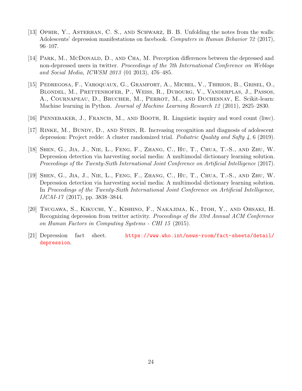- <span id="page-26-4"></span>[13] OPHIR, Y., ASTERHAN, C. S., AND SCHWARZ, B. B. Unfolding the notes from the walls: Adolescents' depression manifestations on facebook. Computers in Human Behavior 72 (2017), 96–107.
- <span id="page-26-5"></span>[14] PARK, M., McDonald, D., AND CHA, M. Perception differences between the depressed and non-depressed users in twitter. Proceedings of the 7th International Conference on Weblogs and Social Media, ICWSM 2013 (01 2013), 476–485.
- <span id="page-26-7"></span>[15] Pedregosa, F., Varoquaux, G., Gramfort, A., Michel, V., Thirion, B., Grisel, O., Blondel, M., Prettenhofer, P., Weiss, R., Dubourg, V., Vanderplas, J., Passos, A., Cournapeau, D., Brucher, M., Perrot, M., and Duchesnay, E. Scikit-learn: Machine learning in Python. Journal of Machine Learning Research 12 (2011), 2825–2830.
- <span id="page-26-6"></span>[16] Pennebaker, J., Francis, M., and Booth, R. Linguistic inquiry and word count (liwc).
- <span id="page-26-3"></span>[17] RINKE, M., BUNDY, D., AND STEIN, R. Increasing recognition and diagnosis of adolescent depression: Project redde: A cluster randomized trial. Pediatric Quality and Safty 4, 6 (2019).
- <span id="page-26-0"></span>[18] Shen, G., Jia, J., Nie, L., Feng, F., Zhang, C., Hu, T., Chua, T.-S., and Zhu, W. Depression detection via harvesting social media: A multimodal dictionary learning solution. Proceedings of the Twenty-Sixth International Joint Conference on Artificial Intelligence (2017).
- <span id="page-26-8"></span>[19] Shen, G., Jia, J., Nie, L., Feng, F., Zhang, C., Hu, T., Chua, T.-S., and Zhu, W. Depression detection via harvesting social media: A multimodal dictionary learning solution. In Proceedings of the Twenty-Sixth International Joint Conference on Artificial Intelligence, IJCAI-17 (2017), pp. 3838–3844.
- <span id="page-26-1"></span>[20] Tsugawa, S., Kikuchi, Y., Kishino, F., Nakajima, K., Itoh, Y., and Ohsaki, H. Recognizing depression from twitter activity. Proceedings of the 33rd Annual ACM Conference on Human Factors in Computing Systems - CHI 15 (2015).
- <span id="page-26-2"></span>[21] Depression fact sheet. [https://www.who.int/news-room/fact-sheets/detail/](https://www.who.int/news-room/fact-sheets/detail/depression) [depression](https://www.who.int/news-room/fact-sheets/detail/depression).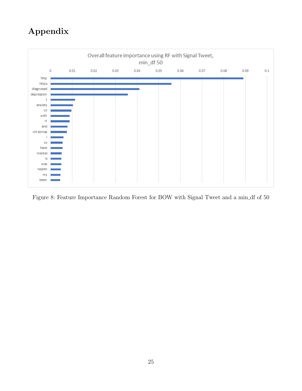# <span id="page-27-0"></span>Appendix



<span id="page-27-1"></span>Figure 8: Feature Importance Random Forest for BOW with Signal Tweet and a min\_df of 50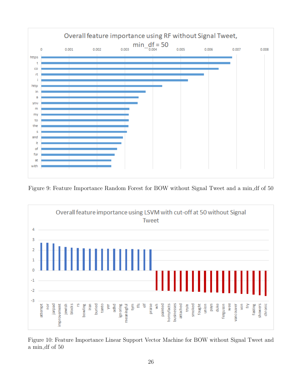

Figure 9: Feature Importance Random Forest for BOW without Signal Tweet and a min df of 50



<span id="page-28-0"></span>Figure 10: Feature Importance Linear Support Vector Machine for BOW without Signal Tweet and a min df of 50